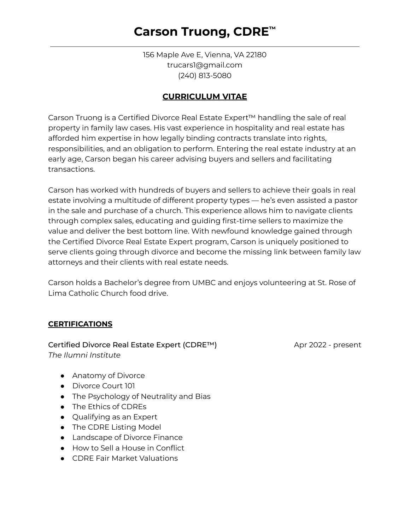# **Carson Truong, CDRE ™**

156 Maple Ave E, Vienna, VA 22180 trucars1@gmail.com (240) 813-5080

### **CURRICULUM VITAE**

Carson Truong is a Certified Divorce Real Estate Expert™ handling the sale of real property in family law cases. His vast experience in hospitality and real estate has afforded him expertise in how legally binding contracts translate into rights, responsibilities, and an obligation to perform. Entering the real estate industry at an early age, Carson began his career advising buyers and sellers and facilitating transactions.

Carson has worked with hundreds of buyers and sellers to achieve their goals in real estate involving a multitude of different property types — he's even assisted a pastor in the sale and purchase of a church. This experience allows him to navigate clients through complex sales, educating and guiding first-time sellers to maximize the value and deliver the best bottom line. With newfound knowledge gained through the Certified Divorce Real Estate Expert program, Carson is uniquely positioned to serve clients going through divorce and become the missing link between family law attorneys and their clients with real estate needs.

Carson holds a Bachelor's degree from UMBC and enjoys volunteering at St. Rose of Lima Catholic Church food drive.

### **CERTIFICATIONS**

#### Certified Divorce Real Estate Expert (CDRE™) Apr 2022 - present *The Ilumni Institute*

- Anatomy of Divorce
- Divorce Court 101
- The Psychology of Neutrality and Bias
- The Ethics of CDREs
- Qualifying as an Expert
- The CDRE Listing Model
- Landscape of Divorce Finance
- How to Sell a House in Conflict
- CDRE Fair Market Valuations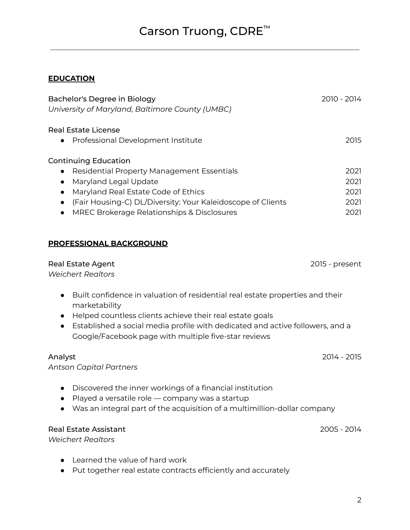# Carson Truong, CDRE ™

## **EDUCATION**

| Bachelor's Degree in Biology                                                                                                                       | 2010 - 2014    |
|----------------------------------------------------------------------------------------------------------------------------------------------------|----------------|
| University of Maryland, Baltimore County (UMBC)                                                                                                    |                |
| <b>Real Estate License</b>                                                                                                                         |                |
| Professional Development Institute                                                                                                                 | 2015           |
| <b>Continuing Education</b>                                                                                                                        |                |
| Residential Property Management Essentials                                                                                                         | 2021           |
| Maryland Legal Update<br>$\bullet$                                                                                                                 | 2021           |
| Maryland Real Estate Code of Ethics<br>$\bullet$                                                                                                   | 2021           |
| (Fair Housing-C) DL/Diversity: Your Kaleidoscope of Clients<br>$\bullet$                                                                           | 2021           |
| MREC Brokerage Relationships & Disclosures<br>$\bullet$                                                                                            | 2021           |
|                                                                                                                                                    |                |
| <b>PROFESSIONAL BACKGROUND</b>                                                                                                                     |                |
| <b>Real Estate Agent</b>                                                                                                                           | 2015 - present |
| <b>Weichert Realtors</b>                                                                                                                           |                |
| Built confidence in valuation of residential real estate properties and their<br>$\bullet$<br>marketability                                        |                |
| Helped countless clients achieve their real estate goals                                                                                           |                |
| Established a social media profile with dedicated and active followers, and a<br>$\bullet$<br>Google/Facebook page with multiple five-star reviews |                |
| Analyst                                                                                                                                            | 2014 - 2015    |
| <b>Antson Capital Partners</b>                                                                                                                     |                |
|                                                                                                                                                    |                |
| Discovered the inner workings of a financial institution                                                                                           |                |
| Played a versatile role - company was a startup<br>Was an integral part of the acquisition of a multimillion-dollar company                        |                |
|                                                                                                                                                    |                |
| <b>Real Estate Assistant</b>                                                                                                                       | 2005 - 2014    |
| <b>Weichert Realtors</b>                                                                                                                           |                |
| Learned the value of hard work                                                                                                                     |                |

● Put together real estate contracts efficiently and accurately